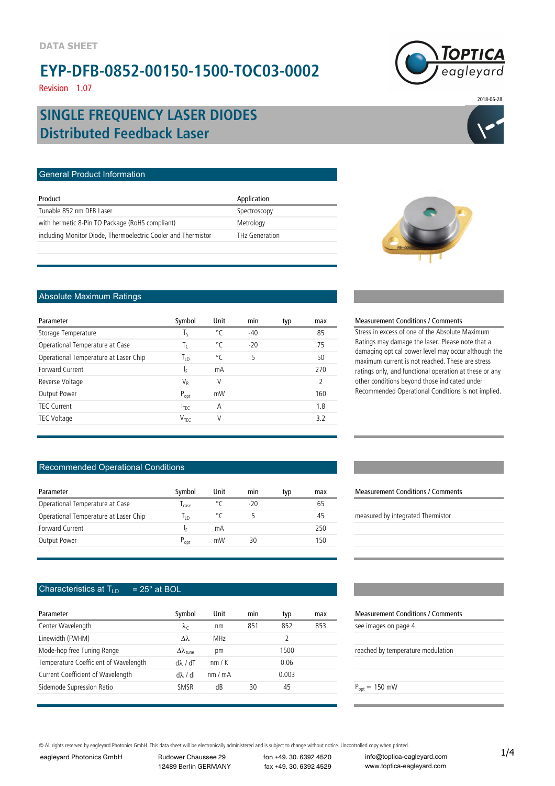## **EYP-DFB-0852-00150-1500-TOC03-0002**

Revision 1.07

# agleyard

2018-06-28

## **Distributed Feedback Laser SINGLE FREQUENCY LASER DIODES**

#### General Product Information

| Product                                                       | Application    |
|---------------------------------------------------------------|----------------|
| Tunable 852 nm DFB Laser                                      | Spectroscopy   |
| with hermetic 8-Pin TO Package (RoHS compliant)               | Metrology      |
| including Monitor Diode, Thermoelectric Cooler and Thermistor | THz Generation |
|                                                               |                |



#### Absolute Maximum Ratings

| Parameter                             | Symbol           | Unit | min   | typ | max           |
|---------------------------------------|------------------|------|-------|-----|---------------|
| Storage Temperature                   | Tς               | °C   | $-40$ |     | 85            |
| Operational Temperature at Case       | $T_c$            | °C   | $-20$ |     | 75            |
| Operational Temperature at Laser Chip | Т <sub>ір</sub>  | °C   | 5     |     | 50            |
| Forward Current                       | I <sub>F</sub>   | mA   |       |     | 270           |
| Reverse Voltage                       | VR               | V    |       |     | $\mathcal{D}$ |
| Output Power                          | $P_{opt}$        | mW   |       |     | 160           |
| <b>TEC Current</b>                    | $I_{\text{TEC}}$ | Α    |       |     | 1.8           |
| TEC Voltage                           | V <sub>TFC</sub> | V    |       |     | 32            |
|                                       |                  |      |       |     |               |

#### Recommended Operational Conditions

| Parameter                             | Symbol    | Unit | min   | typ | max |
|---------------------------------------|-----------|------|-------|-----|-----|
| Operational Temperature at Case       | case      | ۰٢   | $-20$ |     | 65  |
| Operational Temperature at Laser Chip | م⊤ا       | °C   |       |     | 45  |
| Forward Current                       | lε        | mΑ   |       |     | 250 |
| Output Power                          | $P_{opt}$ | mW   | 30    |     | 50  |

#### Characteristics at  $T_{LD}$  = 25° at BOL

| Parameter                             | Symbol                        | Unit  | min | typ   | max |
|---------------------------------------|-------------------------------|-------|-----|-------|-----|
| Center Wavelength                     | $\lambda_c$                   | nm    | 851 | 852   | 853 |
| Linewidth (FWHM)                      | $\lambda\lambda$              | MHz   |     |       |     |
| Mode-hop free Tuning Range            | $\Delta\lambda_{\text{tune}}$ | рm    |     | 1500  |     |
| Temperature Coefficient of Wavelength | $d\lambda$ / $dT$             | nm/K  |     | 0.06  |     |
| Current Coefficient of Wavelength     | $d\lambda/dl$                 | nm/mA |     | 0.003 |     |
| Sidemode Supression Ratio             | SMSR                          | dB    | 30  | 45    |     |

#### **Measurement Conditions / Comments** Stress in excess of one of the Absolute Maximum

Measurement Conditions / Comments

Ratings may damage the laser. Please note that a damaging optical power level may occur although the maximum current is not reached. These are stress ratings only, and functional operation at these or any other conditions beyond those indicated under Recommended Operational Conditions is not implied.

## measured by integrated Thermistor Measurement Conditions / Comments see images on page 4 reached by temperature modulation  $P_{opt} = 150$  mW

© All rights reserved by eagleyard Photonics GmbH. This data sheet will be electronically administered and is subject to change without notice. Uncontrolled copy when printed.<br>
eagleyard Photonics GmbH Rudower Chaussee 29

eagleyard Photonics GmbH

12489 Berlin GERMANY

fon +49. 30. 6392 4520 fax +49. 30. 6392 4529

info@toptica-eagleyard.com www.toptica-eagleyard.com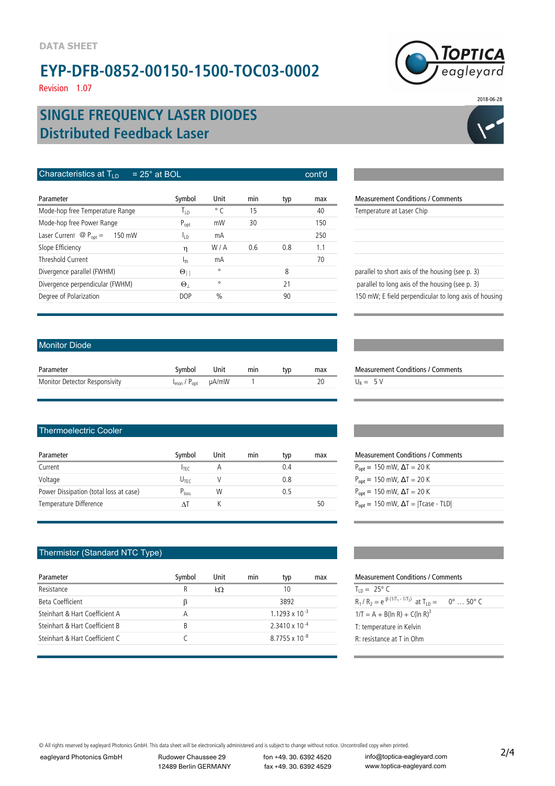## **EYP-DFB-0852-00150-1500-TOC03-0002**

Revision 1.07

## **Distributed Feedback Laser SINGLE FREQUENCY LASER DIODES**

| Characteristics at $T_{\text{L}}$<br>$= 25^\circ$ at BOL |                 |               |     |     | cont'd |                                                  |
|----------------------------------------------------------|-----------------|---------------|-----|-----|--------|--------------------------------------------------|
| Parameter                                                | Symbol          | Unit          | min | typ | max    | <b>Measurement Conditions / Comments</b>         |
| Mode-hop free Temperature Range                          | <u>In</u>       | $^{\circ}$ C  | 15  |     | 40     | Temperature at Laser Chip                        |
| Mode-hop free Power Range                                | $P_{opt}$       | mW            | 30  |     | 150    |                                                  |
| Laser Current $\mathcal{Q}_\text{pot} =$<br>150 mW       | li p            | mA            |     |     | 250    |                                                  |
| Slope Efficiency                                         | η               | W/A           | 0.6 | 0.8 | 1.1    |                                                  |
| Threshold Current                                        | 1 <sub>th</sub> | mA            |     |     | 70     |                                                  |
| Divergence parallel (FWHM)                               | $\Theta$        | $\circ$       |     | 8   |        | parallel to short axis of the housing (see p. 3) |
| Divergence perpendicular (FWHM)                          | $\Theta$        | $\circ$       |     | 21  |        | parallel to long axis of the housing (see p. 3)  |
| Degree of Polarization                                   | <b>DOP</b>      | $\frac{0}{0}$ |     | 90  |        | 150 mW; E field perpendicular to long axis of    |

| Temperature at Laser Chip                             |
|-------------------------------------------------------|
|                                                       |
|                                                       |
|                                                       |
|                                                       |
| parallel to short axis of the housing (see p. 3)      |
| parallel to long axis of the housing (see p. 3)       |
| 150 mW; E field perpendicular to long axis of housing |
|                                                       |

#### Monitor Diode

| Parameter                     | Svmbol                                         | Unit | min | tvp | max | Measuren   |
|-------------------------------|------------------------------------------------|------|-----|-----|-----|------------|
| Monitor Detector Responsivity | $I_{\text{mon}}$ / $P_{\text{opt}}$ $\mu$ A/mW |      |     |     |     | $U_R = 5V$ |

#### Thermoelectric Cooler

| Parameter                              | Symbol           | Unit | mın | typ | max | <b>Measurement Conditions / Comme</b>                         |
|----------------------------------------|------------------|------|-----|-----|-----|---------------------------------------------------------------|
| Current                                | <b>ITEC</b>      |      |     |     |     | $P_{\text{opt}} = 150 \text{ mW}$ , $\Delta T = 20 \text{ K}$ |
| Voltage                                | $U_{\text{TFC}}$ |      |     | 0.8 |     | $P_{\text{opt}} = 150 \text{ mW}$ , $\Delta T = 20 \text{ K}$ |
| Power Dissipation (total loss at case) | $P_{loss}$       | W    |     |     |     | $P_{\text{opt}} = 150 \text{ mW}$ , $\Delta T = 20 \text{ K}$ |
| Temperature Difference                 |                  |      |     |     | 50  | $P_{\text{opt}} = 150$ mW, $\Delta T =  T \text{case} - TLD $ |

#### Thermistor (Standard NTC Type)

| Parameter                      | Symbol | Unit | min | typ                      | max | <b>Measurement Conditions / Comments</b>                      |
|--------------------------------|--------|------|-----|--------------------------|-----|---------------------------------------------------------------|
| Resistance                     | R      | kΩ   |     | 10                       |     | $T_{1D} = 25^{\circ} C$                                       |
| Beta Coefficient               |        |      |     | 3892                     |     | $R_1/R_2 = e^{\beta (1/T_1 - 1/T_2)}$ at $T_{1D} = 0^\circ$ . |
| Steinhart & Hart Coefficient A | А      |      |     | $1.1293 \times 10^{-3}$  |     | $1/T = A + B(ln R) + C(ln R)3$                                |
| Steinhart & Hart Coefficient B | R.     |      |     | $2.3410 \times 10^{-4}$  |     | T: temperature in Kelvin                                      |
| Steinhart & Hart Coefficient C |        |      |     | 87755 x 10 <sup>-8</sup> |     | R: resistance at T in Ohm                                     |
|                                |        |      |     |                          |     |                                                               |

| $P_{\text{opt}} = 150 \text{ mW}$ , $\Delta T = 20 \text{ K}$ |
|---------------------------------------------------------------|
| $P_{\text{opt}} = 150 \text{ mW}$ , $\Delta T = 20 \text{ K}$ |
| $P_{\text{opt}} = 150 \text{ mW}$ , $\Delta T = 20 \text{ K}$ |
| $P_{opt} = 150$ mW, $\Delta T =  T \text{case} - TLD $        |

Measurement Conditions / Comments

| Measurement Conditions / Comments                    |                            |  |  |  |  |  |
|------------------------------------------------------|----------------------------|--|--|--|--|--|
| $T_{10} = 25^{\circ} C$                              |                            |  |  |  |  |  |
| $R_1/R_2 = e^{-\beta (1/T_1 - 1/T_2)}$ at $T_{1D} =$ | $0^\circ \dots 50^\circ$ C |  |  |  |  |  |
| $1/T = A + B(ln R) + C(ln R)^3$                      |                            |  |  |  |  |  |
| T: temperature in Kelvin                             |                            |  |  |  |  |  |
| $R$ : resistance at T in Ohm                         |                            |  |  |  |  |  |
|                                                      |                            |  |  |  |  |  |

© All rights reserved by eagleyard Photonics GmbH. This data sheet will be electronically administered and is subject to change without notice. Uncontrolled copy when printed.<br>
eagleyard Photonics GmbH Rudower Chaussee 29

eagleyard Photonics GmbH

12489 Berlin GERMANY

fon +49. 30. 6392 4520 fax +49. 30. 6392 4529

info@toptica-eagleyard.com www.toptica-eagleyard.com



2018-06-28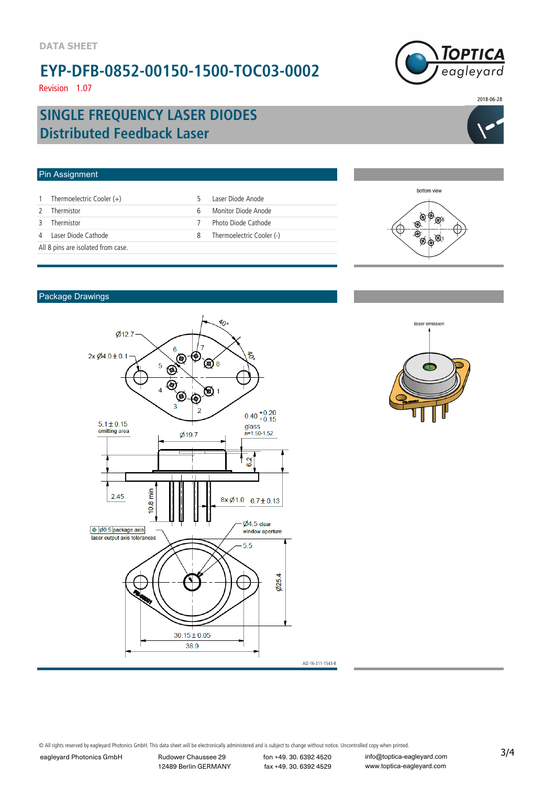## **EYP-DFB-0852-00150-1500-TOC03-0002**

Revision 1.07



2018-06-28

## **Distributed Feedback Laser SINGLE FREQUENCY LASER DIODES**



#### Pin Assignment bottom view 1 Thermoelectric Cooler (+) 1 5 Laser Diode Anode 2 Thermistor 6 Monitor Diode Anode <sub>®</sub>o∲<sub>⊗</sub> 3 Thermistor 7 Photo Diode Cathode ☜ ۵ 4 Laser Diode Cathode 20 Cooler (-) OQI All 8 pins are isolated from case.

#### Package Drawings





© All rights reserved by eagleyard Photonics GmbH. This data sheet will be electronically administered and is subject to change without notice. Uncontrolled copy when printed.<br>
eagleyard Photonics GmbH Rudower Chaussee 29

eagleyard Photonics GmbH

12489 Berlin GERMANY

fon +49. 30. 6392 4520 fax +49. 30. 6392 4529

info@toptica-eagleyard.com www.toptica-eagleyard.com